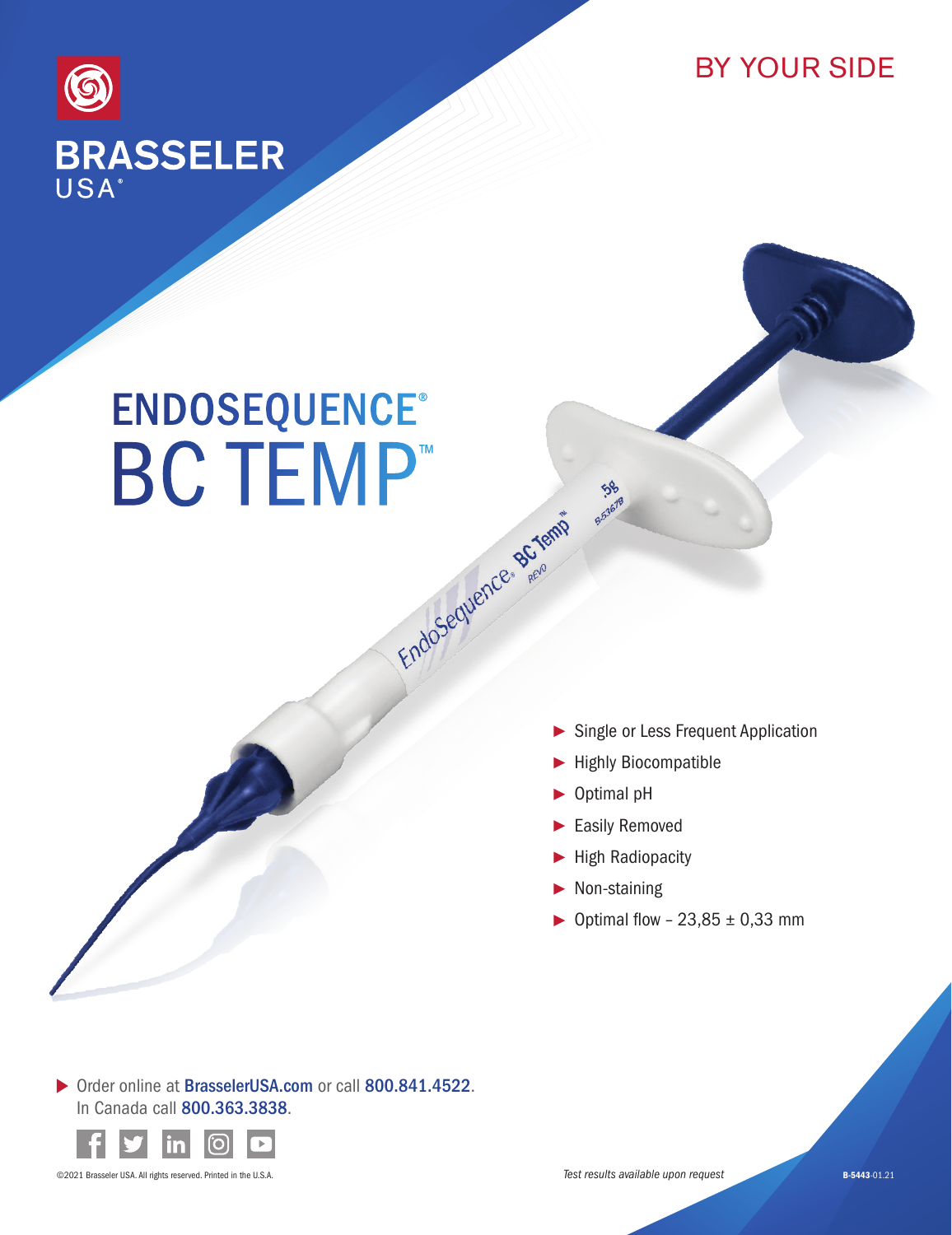



## **ENDOSEQUENCE®** BC TEMP<sup>™</sup>

- Single or Less Frequent Application
- Highly Biocompatible
- ▶ Optimal pH

 $\frac{1}{2}$ 

- Easily Removed
- High Radiopacity
- $\blacktriangleright$  Non-staining
- ▶ Optimal flow  $-23,85 \pm 0,33$  mm

▶ Order online at BrasselerUSA.com or call 800.841.4522. In Canada call 800.363.3838.



©2021 Brasseler USA. All rights reserved. Printed in the U.S.A.